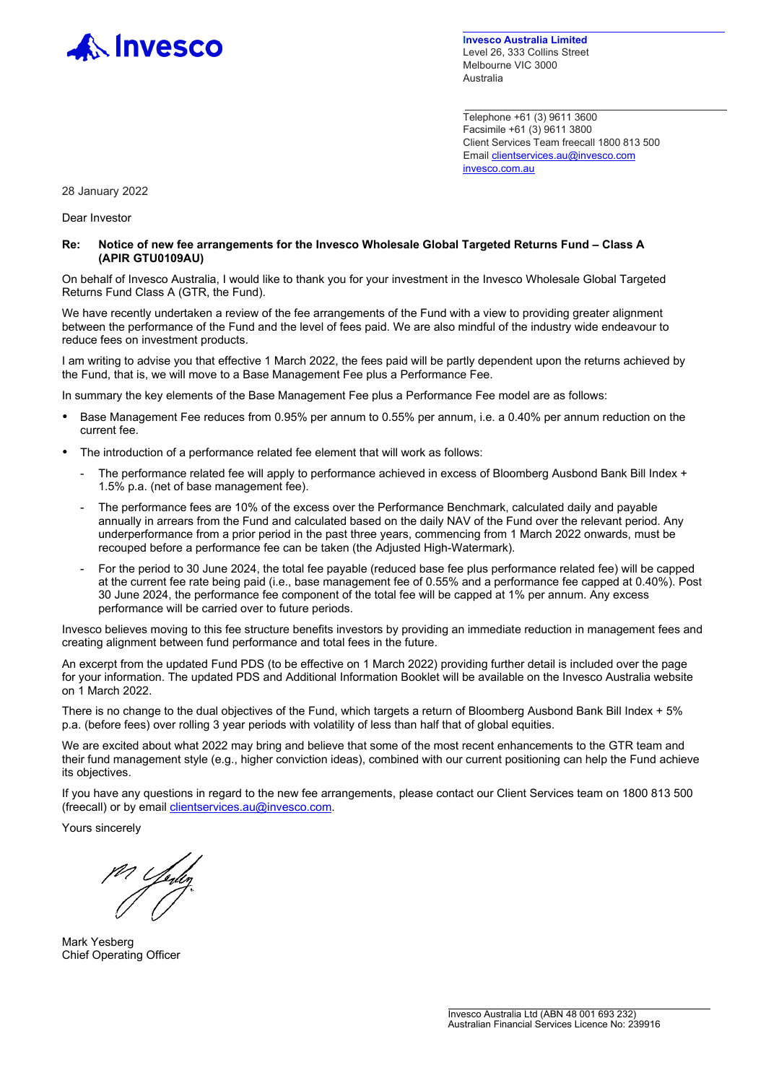

**Invesco Australia Limited** Level 26, 333 Collins Street Melbourne VIC 3000 Australia

Telephone +61 (3) 9611 3600 Facsimile +61 (3) 9611 3800 Client Services Team freecall 1800 813 500 Emai[l clientservices.au@invesco.com](mailto:clientservices.au@invesco.com) [invesco.com.au](http://www.invesco.com.au/)

28 January 2022

Dear Investor

**Re: Notice of new fee arrangements for the Invesco Wholesale Global Targeted Returns Fund – Class A (APIR GTU0109AU)**

On behalf of Invesco Australia, I would like to thank you for your investment in the Invesco Wholesale Global Targeted Returns Fund Class A (GTR, the Fund).

We have recently undertaken a review of the fee arrangements of the Fund with a view to providing greater alignment between the performance of the Fund and the level of fees paid. We are also mindful of the industry wide endeavour to reduce fees on investment products.

I am writing to advise you that effective 1 March 2022, the fees paid will be partly dependent upon the returns achieved by the Fund, that is, we will move to a Base Management Fee plus a Performance Fee.

In summary the key elements of the Base Management Fee plus a Performance Fee model are as follows:

- Base Management Fee reduces from 0.95% per annum to 0.55% per annum, i.e. a 0.40% per annum reduction on the current fee.
- The introduction of a performance related fee element that will work as follows:
	- The performance related fee will apply to performance achieved in excess of Bloomberg Ausbond Bank Bill Index + 1.5% p.a. (net of base management fee).
	- The performance fees are 10% of the excess over the Performance Benchmark, calculated daily and payable annually in arrears from the Fund and calculated based on the daily NAV of the Fund over the relevant period. Any underperformance from a prior period in the past three years, commencing from 1 March 2022 onwards, must be recouped before a performance fee can be taken (the Adjusted High-Watermark).
	- For the period to 30 June 2024, the total fee payable (reduced base fee plus performance related fee) will be capped at the current fee rate being paid (i.e., base management fee of 0.55% and a performance fee capped at 0.40%). Post 30 June 2024, the performance fee component of the total fee will be capped at 1% per annum. Any excess performance will be carried over to future periods.

Invesco believes moving to this fee structure benefits investors by providing an immediate reduction in management fees and creating alignment between fund performance and total fees in the future.

An excerpt from the updated Fund PDS (to be effective on 1 March 2022) providing further detail is included over the page for your information. The updated PDS and Additional Information Booklet will be available on the Invesco Australia website on 1 March 2022.

There is no change to the dual objectives of the Fund, which targets a return of Bloomberg Ausbond Bank Bill Index + 5% p.a. (before fees) over rolling 3 year periods with volatility of less than half that of global equities.

We are excited about what 2022 may bring and believe that some of the most recent enhancements to the GTR team and their fund management style (e.g., higher conviction ideas), combined with our current positioning can help the Fund achieve its objectives.

If you have any questions in regard to the new fee arrangements, please contact our Client Services team on 1800 813 500 (freecall) or by email *clientservices.au@invesco.com.* 

Yours sincerely

Mark Yesberg Chief Operating Officer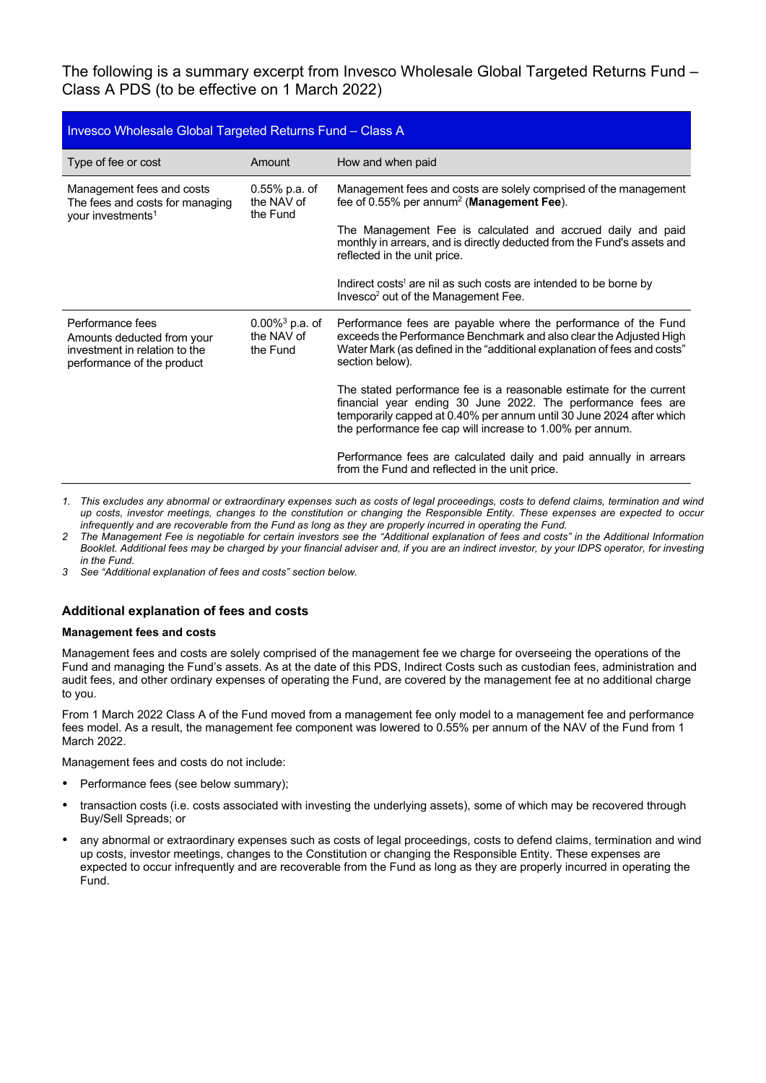The following is a summary excerpt from Invesco Wholesale Global Targeted Returns Fund – Class A PDS (to be effective on 1 March 2022)

| Invesco Wholesale Global Targeted Returns Fund - Class A                                                      |                                                         |                                                                                                                                                                                                                                                                          |
|---------------------------------------------------------------------------------------------------------------|---------------------------------------------------------|--------------------------------------------------------------------------------------------------------------------------------------------------------------------------------------------------------------------------------------------------------------------------|
| Type of fee or cost                                                                                           | Amount                                                  | How and when paid                                                                                                                                                                                                                                                        |
| Management fees and costs<br>The fees and costs for managing<br>your investments <sup>1</sup>                 | $0.55%$ p.a. of<br>the NAV of<br>the Fund               | Management fees and costs are solely comprised of the management<br>fee of 0.55% per annum <sup>2</sup> (Management Fee).                                                                                                                                                |
|                                                                                                               |                                                         | The Management Fee is calculated and accrued daily and paid<br>monthly in arrears, and is directly deducted from the Fund's assets and<br>reflected in the unit price.                                                                                                   |
|                                                                                                               |                                                         | Indirect costs <sup>1</sup> are nil as such costs are intended to be borne by<br>Invesco <sup>2</sup> out of the Management Fee.                                                                                                                                         |
| Performance fees<br>Amounts deducted from your<br>investment in relation to the<br>performance of the product | $0.00\%$ <sup>3</sup> p.a. of<br>the NAV of<br>the Fund | Performance fees are payable where the performance of the Fund<br>exceeds the Performance Benchmark and also clear the Adjusted High<br>Water Mark (as defined in the "additional explanation of fees and costs"<br>section below).                                      |
|                                                                                                               |                                                         | The stated performance fee is a reasonable estimate for the current<br>financial year ending 30 June 2022. The performance fees are<br>temporarily capped at 0.40% per annum until 30 June 2024 after which<br>the performance fee cap will increase to 1.00% per annum. |
|                                                                                                               |                                                         | Performance fees are calculated daily and paid annually in arrears<br>from the Fund and reflected in the unit price.                                                                                                                                                     |

*1. This excludes any abnormal or extraordinary expenses such as costs of legal proceedings, costs to defend claims, termination and wind up costs, investor meetings, changes to the constitution or changing the Responsible Entity. These expenses are expected to occur infrequently and are recoverable from the Fund as long as they are properly incurred in operating the Fund.*

- *2 The Management Fee is negotiable for certain investors see the "Additional explanation of fees and costs" in the Additional Information Booklet. Additional fees may be charged by your financial adviser and, if you are an indirect investor, by your IDPS operator, for investing in the Fund.*
- *3 See "Additional explanation of fees and costs" section below.*

## **Additional explanation of fees and costs**

## **Management fees and costs**

Management fees and costs are solely comprised of the management fee we charge for overseeing the operations of the Fund and managing the Fund's assets. As at the date of this PDS, Indirect Costs such as custodian fees, administration and audit fees, and other ordinary expenses of operating the Fund, are covered by the management fee at no additional charge to you.

From 1 March 2022 Class A of the Fund moved from a management fee only model to a management fee and performance fees model. As a result, the management fee component was lowered to 0.55% per annum of the NAV of the Fund from 1 March 2022.

Management fees and costs do not include:

- Performance fees (see below summary);
- transaction costs (i.e. costs associated with investing the underlying assets), some of which may be recovered through Buy/Sell Spreads; or
- any abnormal or extraordinary expenses such as costs of legal proceedings, costs to defend claims, termination and wind up costs, investor meetings, changes to the Constitution or changing the Responsible Entity. These expenses are expected to occur infrequently and are recoverable from the Fund as long as they are properly incurred in operating the Fund.